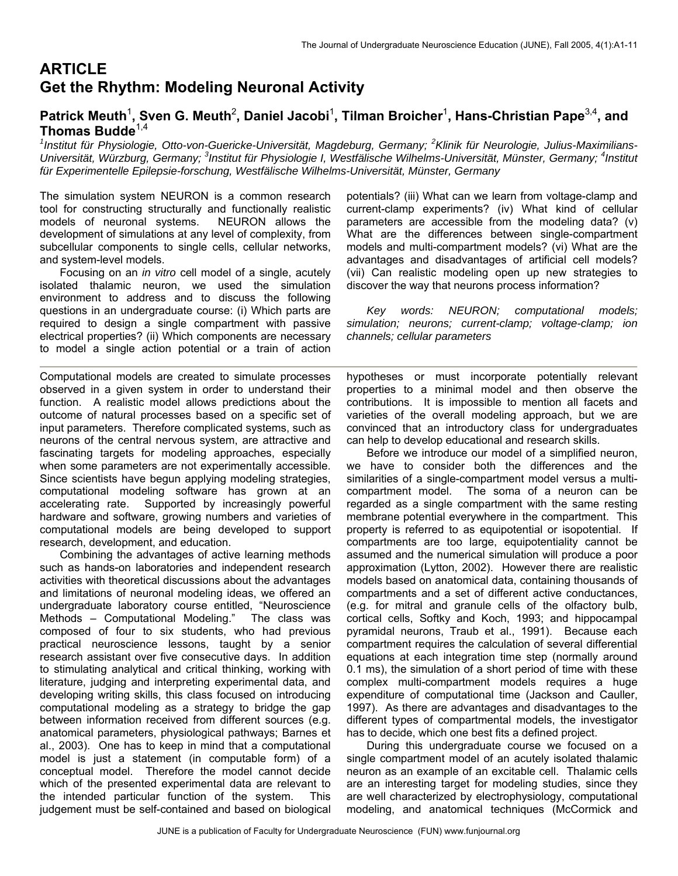# **ARTICLE Get the Rhythm: Modeling Neuronal Activity**

# Patrick Meuth<sup>1</sup>, Sven G. Meuth<sup>2</sup>, Daniel Jacobi<sup>1</sup>, Tilman Broicher<sup>1</sup>, Hans-Christian Pape<sup>3,4</sup>, and **Thomas Budde**1,4*<sup>1</sup>*

Institut für Physiologie, Otto-von-Guericke-Universität, Magdeburg, Germany; <sup>2</sup>Klinik für Neurologie, Julius-Maximilians-Universität, Würzburg, Germany; <sup>3</sup>Institut für Physiologie I, Westfälische Wilhelms-Universität, Münster, Germany; <sup>4</sup>Institut *für Experimentelle Epilepsie-forschung, Westfälische Wilhelms-Universität, Münster, Germany* 

The simulation system NEURON is a common research tool for constructing structurally and functionally realistic models of neuronal systems. NEURON allows the development of simulations at any level of complexity, from subcellular components to single cells, cellular networks, and system-level models.

Focusing on an *in vitro* cell model of a single, acutely isolated thalamic neuron, we used the simulation environment to address and to discuss the following questions in an undergraduate course: (i) Which parts are required to design a single compartment with passive electrical properties? (ii) Which components are necessary to model a single action potential or a train of action

Computational models are created to simulate processes observed in a given system in order to understand their function. A realistic model allows predictions about the outcome of natural processes based on a specific set of input parameters. Therefore complicated systems, such as neurons of the central nervous system, are attractive and fascinating targets for modeling approaches, especially when some parameters are not experimentally accessible. Since scientists have begun applying modeling strategies, computational modeling software has grown at an accelerating rate. Supported by increasingly powerful hardware and software, growing numbers and varieties of computational models are being developed to support research, development, and education.

Combining the advantages of active learning methods such as hands-on laboratories and independent research activities with theoretical discussions about the advantages and limitations of neuronal modeling ideas, we offered an undergraduate laboratory course entitled, "Neuroscience Methods – Computational Modeling." The class was composed of four to six students, who had previous practical neuroscience lessons, taught by a senior research assistant over five consecutive days. In addition to stimulating analytical and critical thinking, working with literature, judging and interpreting experimental data, and developing writing skills, this class focused on introducing computational modeling as a strategy to bridge the gap between information received from different sources (e.g. anatomical parameters, physiological pathways; Barnes et al., 2003). One has to keep in mind that a computational model is just a statement (in computable form) of a conceptual model. Therefore the model cannot decide which of the presented experimental data are relevant to the intended particular function of the system. This judgement must be self-contained and based on biological

potentials? (iii) What can we learn from voltage-clamp and current-clamp experiments? (iv) What kind of cellular parameters are accessible from the modeling data? (v) What are the differences between single-compartment models and multi-compartment models? (vi) What are the advantages and disadvantages of artificial cell models? (vii) Can realistic modeling open up new strategies to discover the way that neurons process information?

*Key words: NEURON; computational models; simulation; neurons; current-clamp; voltage-clamp; ion channels; cellular parameters* 

hypotheses or must incorporate potentially relevant properties to a minimal model and then observe the contributions. It is impossible to mention all facets and varieties of the overall modeling approach, but we are convinced that an introductory class for undergraduates can help to develop educational and research skills.

Before we introduce our model of a simplified neuron, we have to consider both the differences and the similarities of a single-compartment model versus a multicompartment model. The soma of a neuron can be regarded as a single compartment with the same resting membrane potential everywhere in the compartment. This property is referred to as equipotential or isopotential. If compartments are too large, equipotentiality cannot be assumed and the numerical simulation will produce a poor approximation (Lytton, 2002). However there are realistic models based on anatomical data, containing thousands of compartments and a set of different active conductances, (e.g. for mitral and granule cells of the olfactory bulb, cortical cells, Softky and Koch, 1993; and hippocampal pyramidal neurons, Traub et al., 1991). Because each compartment requires the calculation of several differential equations at each integration time step (normally around 0.1 ms), the simulation of a short period of time with these complex multi-compartment models requires a huge expenditure of computational time (Jackson and Cauller, 1997). As there are advantages and disadvantages to the different types of compartmental models, the investigator has to decide, which one best fits a defined project.

During this undergraduate course we focused on a single compartment model of an acutely isolated thalamic neuron as an example of an excitable cell. Thalamic cells are an interesting target for modeling studies, since they are well characterized by electrophysiology, computational modeling, and anatomical techniques (McCormick and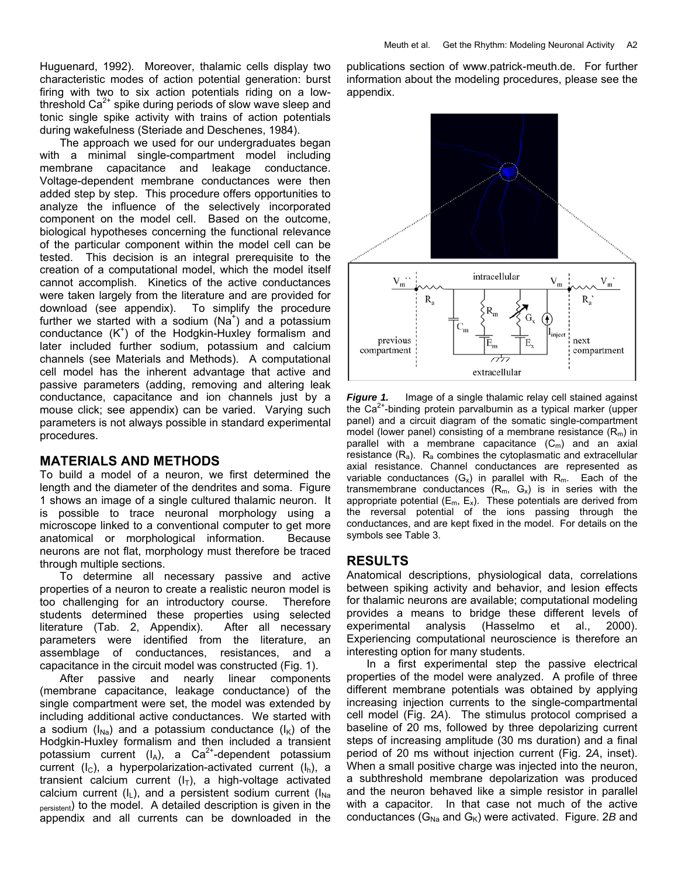Huguenard, 1992). Moreover, thalamic cells display two characteristic modes of action potential generation: burst firing with two to six action potentials riding on a lowthreshold  $Ca<sup>2+</sup>$  spike during periods of slow wave sleep and tonic single spike activity with trains of action potentials during wakefulness (Steriade and Deschenes, 1984).

The approach we used for our undergraduates began with a minimal single-compartment model including membrane capacitance and leakage conductance. Voltage-dependent membrane conductances were then added step by step. This procedure offers opportunities to analyze the influence of the selectively incorporated component on the model cell. Based on the outcome, biological hypotheses concerning the functional relevance of the particular component within the model cell can be tested. This decision is an integral prerequisite to the creation of a computational model, which the model itself cannot accomplish. Kinetics of the active conductances were taken largely from the literature and are provided for download (see appendix). To simplify the procedure further we started with a sodium  $(Na^+)$  and a potassium conductance  $(K^+)$  of the Hodgkin-Huxley formalism and later included further sodium, potassium and calcium channels (see Materials and Methods). A computational cell model has the inherent advantage that active and passive parameters (adding, removing and altering leak conductance, capacitance and ion channels just by a mouse click; see appendix) can be varied. Varying such parameters is not always possible in standard experimental procedures.

# **MATERIALS AND METHODS**

To build a model of a neuron, we first determined the length and the diameter of the dendrites and soma. Figure 1 shows an image of a single cultured thalamic neuron. It is possible to trace neuronal morphology using a microscope linked to a conventional computer to get more anatomical or morphological information. Because neurons are not flat, morphology must therefore be traced through multiple sections.

To determine all necessary passive and active properties of a neuron to create a realistic neuron model is too challenging for an introductory course. Therefore students determined these properties using selected literature (Tab. 2, Appendix). After all necessary parameters were identified from the literature, an assemblage of conductances, resistances, and a capacitance in the circuit model was constructed (Fig. 1).

After passive and nearly linear components (membrane capacitance, leakage conductance) of the single compartment were set, the model was extended by including additional active conductances. We started with a sodium ( $I_{Na}$ ) and a potassium conductance ( $I_K$ ) of the Hodgkin-Huxley formalism and then included a transient potassium current  $(I_A)$ , a Ca<sup>2+</sup>-dependent potassium current ( $I_c$ ), a hyperpolarization-activated current ( $I_h$ ), a transient calcium current  $(I_T)$ , a high-voltage activated calcium current  $(I_L)$ , and a persistent sodium current  $(I_{Na})$ <sub>persistent</sub>) to the model. A detailed description is given in the appendix and all currents can be downloaded in the publications section of [www.patrick-meuth.de](http://pmeuth.bluehash.de). For further information about the modeling procedures, please see the appendix.



**Figure 1.** Image of a single thalamic relay cell stained against the  $Ca<sup>2+</sup>$ -binding protein parvalbumin as a typical marker (upper panel) and a circuit diagram of the somatic single-compartment model (lower panel) consisting of a membrane resistance  $(R_m)$  in parallel with a membrane capacitance  $(C_m)$  and an axial resistance  $(R_a)$ .  $R_a$  combines the cytoplasmatic and extracellular axial resistance. Channel conductances are represented as variable conductances  $(G_x)$  in parallel with  $R_m$ . Each of the transmembrane conductances  $(R_m, G_x)$  is in series with the appropriate potential  $(E_m, E_x)$ . These potentials are derived from the reversal potential of the ions passing through the conductances, and are kept fixed in the model. For details on the symbols see Table 3.

# **RESULTS**

Anatomical descriptions, physiological data, correlations between spiking activity and behavior, and lesion effects for thalamic neurons are available; computational modeling provides a means to bridge these different levels of experimental analysis (Hasselmo et al., 2000). Experiencing computational neuroscience is therefore an interesting option for many students.

In a first experimental step the passive electrical properties of the model were analyzed. A profile of three different membrane potentials was obtained by applying increasing injection currents to the single-compartmental cell model (Fig. 2*A*). The stimulus protocol comprised a baseline of 20 ms, followed by three depolarizing current steps of increasing amplitude (30 ms duration) and a final period of 20 ms without injection current (Fig. 2*A*, inset). When a small positive charge was injected into the neuron, a subthreshold membrane depolarization was produced and the neuron behaved like a simple resistor in parallel with a capacitor. In that case not much of the active conductances ( $G_{N_a}$  and  $G_{K}$ ) were activated. Figure. 2*B* and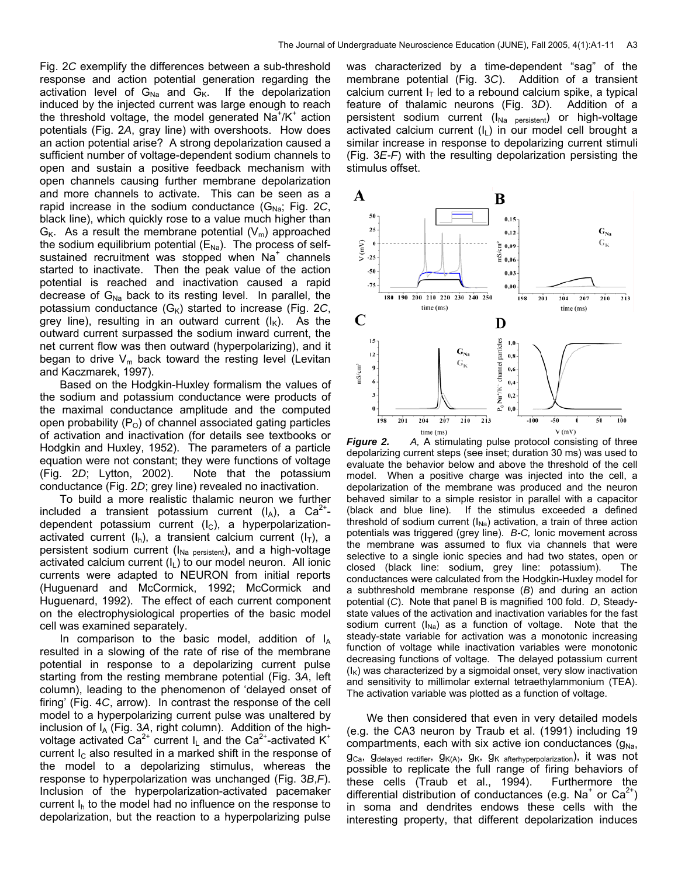Fig. 2*C* exemplify the differences between a sub-threshold response and action potential generation regarding the activation level of  $G_{Na}$  and  $G_K$ . If the depolarization induced by the injected current was large enough to reach the threshold voltage, the model generated  $Na^{+}/K^{+}$  action potentials (Fig. 2*A*, gray line) with overshoots. How does an action potential arise? A strong depolarization caused a sufficient number of voltage-dependent sodium channels to open and sustain a positive feedback mechanism with open channels causing further membrane depolarization and more channels to activate. This can be seen as a rapid increase in the sodium conductance  $(G_{Na};$  Fig. 2*C*, black line), which quickly rose to a value much higher than  $G_K$ . As a result the membrane potential  $(V_m)$  approached the sodium equilibrium potential  $(E_{Na})$ . The process of selfsustained recruitment was stopped when Na<sup>+</sup> channels started to inactivate. Then the peak value of the action potential is reached and inactivation caused a rapid decrease of  $G_{Na}$  back to its resting level. In parallel, the potassium conductance  $(G_K)$  started to increase (Fig. 2*C*, grey line), resulting in an outward current  $(I_K)$ . As the outward current surpassed the sodium inward current, the net current flow was then outward (hyperpolarizing), and it began to drive  $V_m$  back toward the resting level (Levitan and Kaczmarek, 1997).

Based on the Hodgkin-Huxley formalism the values of the sodium and potassium conductance were products of the maximal conductance amplitude and the computed open probability  $(P<sub>O</sub>)$  of channel associated gating particles of activation and inactivation (for details see textbooks or Hodgkin and Huxley, 1952). The parameters of a particle equation were not constant; they were functions of voltage (Fig. 2*D*; Lytton, 2002). Note that the potassium conductance (Fig. 2*D*; grey line) revealed no inactivation.

To build a more realistic thalamic neuron we further included a transient potassium current  $(I_A)$ , a Ca<sup>2+</sup>dependent potassium current  $(I<sub>C</sub>)$ , a hyperpolarizationactivated current  $(I_n)$ , a transient calcium current  $(I_T)$ , a persistent sodium current ( $I_{Na\,\,\mathrm{persistent}}$ ), and a high-voltage activated calcium current  $(I<sub>L</sub>)$  to our model neuron. All ionic currents were adapted to NEURON from initial reports (Huguenard and McCormick, 1992; McCormick and Huguenard, 1992). The effect of each current component on the electrophysiological properties of the basic model cell was examined separately.

In comparison to the basic model, addition of  $I_A$ resulted in a slowing of the rate of rise of the membrane potential in response to a depolarizing current pulse starting from the resting membrane potential (Fig. 3*A*, left column), leading to the phenomenon of 'delayed onset of firing' (Fig. 4*C*, arrow). In contrast the response of the cell model to a hyperpolarizing current pulse was unaltered by inclusion of  $I_A$  (Fig. 3A, right column). Addition of the highvoltage activated Ca<sup>2+</sup> current  $I_L$  and the Ca<sup>2+</sup>-activated K<sup>+</sup> current  $I_c$  also resulted in a marked shift in the response of the model to a depolarizing stimulus, whereas the response to hyperpolarization was unchanged (Fig. 3*B*,*F*). Inclusion of the hyperpolarization-activated pacemaker current  $I_h$  to the model had no influence on the response to depolarization, but the reaction to a hyperpolarizing pulse was characterized by a time-dependent "sag" of the membrane potential (Fig. 3*C*). Addition of a transient calcium current  $I<sub>T</sub>$  led to a rebound calcium spike, a typical feature of thalamic neurons (Fig. 3*D*). Addition of a persistent sodium current  $(I_{Na\,\,\,persistent})$  or high-voltage activated calcium current  $(I_L)$  in our model cell brought a similar increase in response to depolarizing current stimuli (Fig. 3*E-F*) with the resulting depolarization persisting the stimulus offset.



*Figure 2. A,* A stimulating pulse protocol consisting of three depolarizing current steps (see inset; duration 30 ms) was used to evaluate the behavior below and above the threshold of the cell model. When a positive charge was injected into the cell, a depolarization of the membrane was produced and the neuron behaved similar to a simple resistor in parallel with a capacitor (black and blue line). If the stimulus exceeded a defined threshold of sodium current  $(I_{\text{Na}})$  activation, a train of three action potentials was triggered (grey line). *B-C,* Ionic movement across the membrane was assumed to flux via channels that were selective to a single ionic species and had two states, open or closed (black line: sodium, grey line: potassium). The conductances were calculated from the Hodgkin-Huxley model for a subthreshold membrane response (*B*) and during an action potential (*C*). Note that panel B is magnified 100 fold. *D*, Steadystate values of the activation and inactivation variables for the fast sodium current  $(I_{Na})$  as a function of voltage. Note that the steady-state variable for activation was a monotonic increasing function of voltage while inactivation variables were monotonic decreasing functions of voltage. The delayed potassium current  $(I_K)$  was characterized by a sigmoidal onset, very slow inactivation and sensitivity to millimolar external tetraethylammonium (TEA). The activation variable was plotted as a function of voltage.

We then considered that even in very detailed models (e.g. the CA3 neuron by Traub et al. (1991) including 19 compartments, each with six active ion conductances  $(g_{Na}, g_{Na})$ gCa, gdelayed rectifier, gK(A), gK, gK afterhyperpolarization), it was not possible to replicate the full range of firing behaviors of these cells (Traub et al., 1994). Furthermore the differential distribution of conductances (e.g. Na<sup>+</sup> or  $Ca^{2+}$ ) in soma and dendrites endows these cells with the interesting property, that different depolarization induces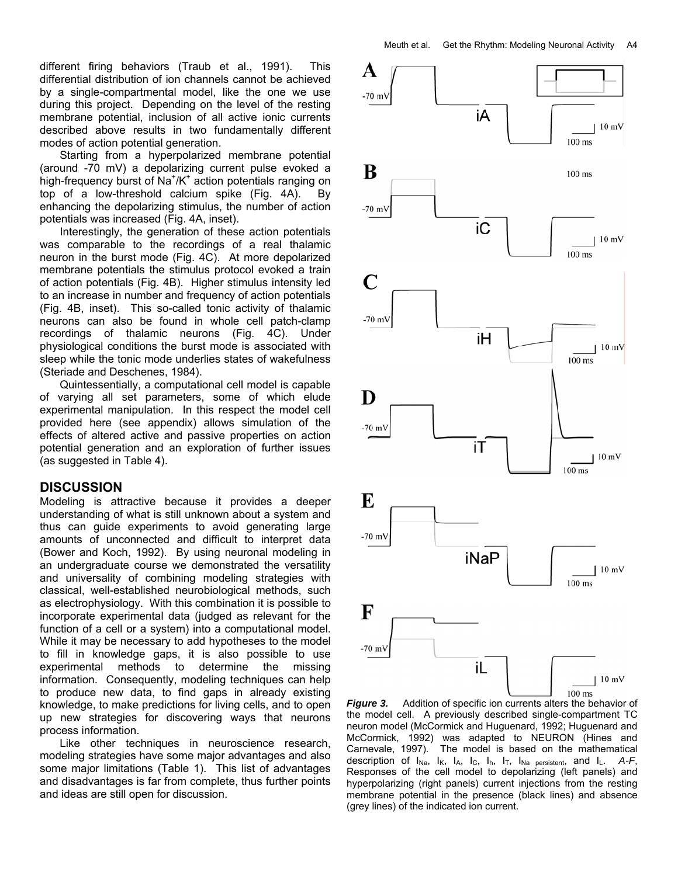Starting from a hyperpolarized membrane potential (around -70 mV) a depolarizing current pulse evoked a high-frequency burst of Na<sup>+</sup>/K<sup>+</sup> action potentials ranging on top of a low-threshold calcium spike (Fig. 4A). By enhancing the depolarizing stimulus, the number of action potentials was increased (Fig. 4A, inset).

Interestingly, the generation of these action potentials was comparable to the recordings of a real thalamic neuron in the burst mode (Fig. 4C). At more depolarized membrane potentials the stimulus protocol evoked a train of action potentials (Fig. 4B). Higher stimulus intensity led to an increase in number and frequency of action potentials (Fig. 4B, inset). This so-called tonic activity of thalamic neurons can also be found in whole cell patch-clamp recordings of thalamic neurons (Fig. 4C). Under physiological conditions the burst mode is associated with sleep while the tonic mode underlies states of wakefulness (Steriade and Deschenes, 1984).

Quintessentially, a computational cell model is capable of varying all set parameters, some of which elude experimental manipulation. In this respect the model cell provided here (see appendix) allows simulation of the effects of altered active and passive properties on action potential generation and an exploration of further issues (as suggested in Table 4).

# **DISCUSSION**

Modeling is attractive because it provides a deeper understanding of what is still unknown about a system and thus can guide experiments to avoid generating large amounts of unconnected and difficult to interpret data (Bower and Koch, 1992).By using neuronal modeling in an undergraduate course we demonstrated the versatility and universality of combining modeling strategies with classical, well-established neurobiological methods, such as electrophysiology. With this combination it is possible to incorporate experimental data (judged as relevant for the function of a cell or a system) into a computational model. While it may be necessary to add hypotheses to the model to fill in knowledge gaps, it is also possible to use experimental methods to determine the missing information. Consequently, modeling techniques can help to produce new data, to find gaps in already existing knowledge, to make predictions for living cells, and to open up new strategies for discovering ways that neurons process information.

Like other techniques in neuroscience research, modeling strategies have some major advantages and also some major limitations (Table 1). This list of advantages and disadvantages is far from complete, thus further points and ideas are still open for discussion.



*Figure 3.* Addition of specific ion currents alters the behavior of the model cell. A previously described single-compartment TC neuron model (McCormick and Huguenard, 1992; Huguenard and McCormick, 1992) was adapted to NEURON (Hines and Carnevale, 1997). The model is based on the mathematical description of  $I_{Na}$ ,  $I_{K}$ ,  $I_{A}$ ,  $I_{C}$ ,  $I_{h}$ ,  $I_{T}$ ,  $I_{Na}$  persistent, and  $I_{L}$ . A-F, Responses of the cell model to depolarizing (left panels) and hyperpolarizing (right panels) current injections from the resting membrane potential in the presence (black lines) and absence (grey lines) of the indicated ion current.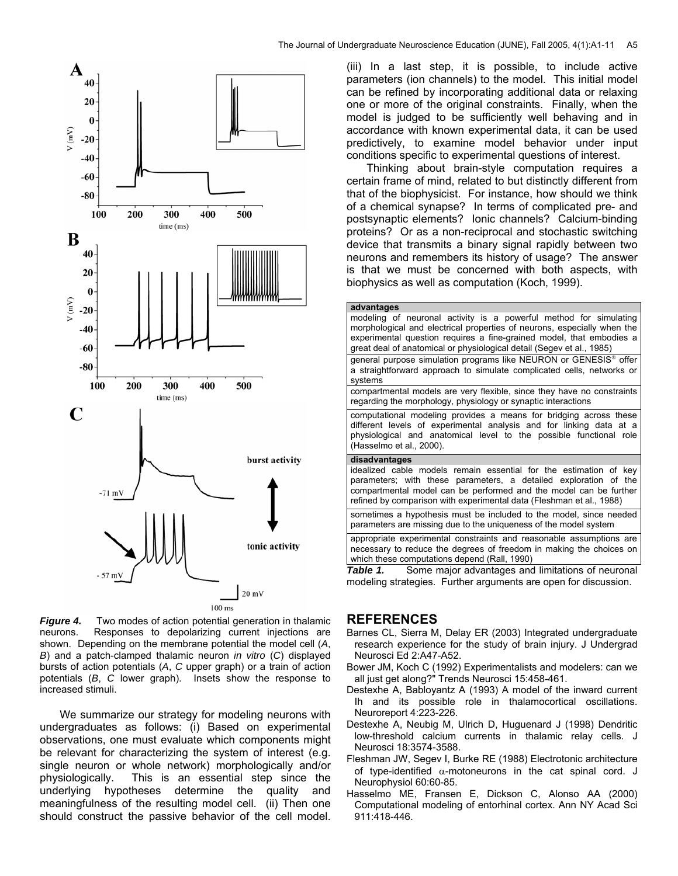

The Journal of Undergraduate Neuroscience Education (JUNE), Fall 2005, 4(1):A1-11 A5

parameters (ion channels) to the model. This initial model can be refined by incorporating additional data or relaxing one or more of the original constraints. Finally, when the model is judged to be sufficiently well behaving and in accordance with known experimental data, it can be used predictively, to examine model behavior under input conditions specific to experimental questions of interest.

Thinking about brain-style computation requires a certain frame of mind, related to but distinctly different from that of the biophysicist. For instance, how should we think of a chemical synapse? In terms of complicated pre- and postsynaptic elements? Ionic channels? Calcium-binding proteins? Or as a non-reciprocal and stochastic switching device that transmits a binary signal rapidly between two neurons and remembers its history of usage? The answer is that we must be concerned with both aspects, with biophysics as well as computation (Koch, 1999).

| advantages<br>modeling of neuronal activity is a powerful method for simulating<br>morphological and electrical properties of neurons, especially when the<br>experimental question requires a fine-grained model, that embodies a<br>great deal of anatomical or physiological detail (Segev et al., 1985) |
|-------------------------------------------------------------------------------------------------------------------------------------------------------------------------------------------------------------------------------------------------------------------------------------------------------------|
| general purpose simulation programs like NEURON or GENESIS® offer<br>a straightforward approach to simulate complicated cells, networks or<br>systems                                                                                                                                                       |
| compartmental models are very flexible, since they have no constraints<br>regarding the morphology, physiology or synaptic interactions                                                                                                                                                                     |
| computational modeling provides a means for bridging across these<br>different levels of experimental analysis and for linking data at a<br>physiological and anatomical level to the possible functional role<br>(Hasselmo et al., 2000).                                                                  |
| disadvantages<br>idealized cable models remain essential for the estimation of key<br>parameters; with these parameters, a detailed exploration of the<br>compartmental model can be performed and the model can be further<br>refined by comparison with experimental data (Fleshman et al., 1988)         |
| sometimes a hypothesis must be included to the model, since needed<br>parameters are missing due to the uniqueness of the model system                                                                                                                                                                      |
| appropriate experimental constraints and reasonable assumptions are<br>necessary to reduce the degrees of freedom in making the choices on<br>which these computations depend (Rall, 1990)                                                                                                                  |
| Some major advantages and limitations of neuronal<br>Table 1.                                                                                                                                                                                                                                               |

modeling strategies. Further arguments are open for discussion.

**Figure 4.** Two modes of action potential generation in thalamic neurons. Responses to depolarizing current injections are Responses to depolarizing current injections are shown. Depending on the membrane potential the model cell (*A*, *B*) and a patch-clamped thalamic neuron *in vitro* (*C*) displayed bursts of action potentials (*A*, *C* upper graph) or a train of action potentials (*B*, *C* lower graph). Insets show the response to increased stimuli.

We summarize our strategy for modeling neurons with undergraduates as follows: (i) Based on experimental observations, one must evaluate which components might be relevant for characterizing the system of interest (e.g. single neuron or whole network) morphologically and/or physiologically. This is an essential step since the underlying hypotheses determine the quality and meaningfulness of the resulting model cell. (ii) Then one should construct the passive behavior of the cell model.

# **REFERENCES**

- Barnes CL, Sierra M, Delay ER (2003) Integrated undergraduate research experience for the study of brain injury. J Undergrad Neurosci Ed 2:A47-A52.
- Bower JM, Koch C (1992) Experimentalists and modelers: can we all just get along?" Trends Neurosci 15:458-461.
- Destexhe A, Babloyantz A (1993) A model of the inward current Ih and its possible role in thalamocortical oscillations. Neuroreport 4:223-226.
- Destexhe A, Neubig M, Ulrich D, Huguenard J (1998) Dendritic low-threshold calcium currents in thalamic relay cells. J Neurosci 18:3574-3588.
- Fleshman JW, Segev I, Burke RE (1988) Electrotonic architecture of type-identified  $\alpha$ -motoneurons in the cat spinal cord. J Neurophysiol 60:60-85.
- Hasselmo ME, Fransen E, Dickson C, Alonso AA (2000) Computational modeling of entorhinal cortex. Ann NY Acad Sci 911:418-446.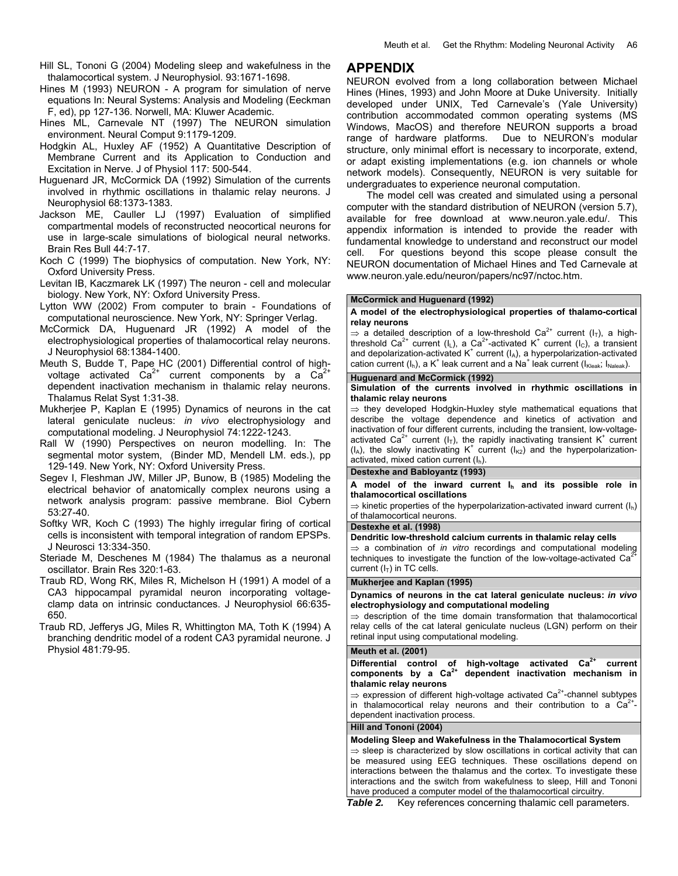- Hill SL, Tononi G (2004) Modeling sleep and wakefulness in the thalamocortical system. J Neurophysiol. 93:1671-1698.
- Hines M (1993) NEURON A program for simulation of nerve equations In: Neural Systems: Analysis and Modeling (Eeckman F, ed), pp 127-136. Norwell, MA: Kluwer Academic.
- Hines ML, Carnevale NT (1997) The NEURON simulation environment. Neural Comput 9:1179-1209.
- Hodgkin AL, Huxley AF (1952) A Quantitative Description of Membrane Current and its Application to Conduction and Excitation in Nerve. J of Physiol 117: 500-544.
- Huguenard JR, McCormick DA (1992) Simulation of the currents involved in rhythmic oscillations in thalamic relay neurons. J Neurophysiol 68:1373-1383.
- Jackson ME, Cauller LJ (1997) Evaluation of simplified compartmental models of reconstructed neocortical neurons for use in large-scale simulations of biological neural networks. Brain Res Bull 44:7-17.
- Koch C (1999) The biophysics of computation. New York, NY: Oxford University Press.
- Levitan IB, Kaczmarek LK (1997) The neuron cell and molecular biology. New York, NY: Oxford University Press.
- Lytton WW (2002) From computer to brain Foundations of computational neuroscience. New York, NY: Springer Verlag.
- McCormick DA, Huguenard JR (1992) A model of the electrophysiological properties of thalamocortical relay neurons. J Neurophysiol 68:1384-1400.
- Meuth S, Budde T, Pape HC (2001) Differential control of highvoltage activated  $Ca^{2+}$  current components by a  $Ca^{2}$ dependent inactivation mechanism in thalamic relay neurons. Thalamus Relat Syst 1:31-38.
- Mukherjee P, Kaplan E (1995) Dynamics of neurons in the cat lateral geniculate nucleus: *in vivo* electrophysiology and computational modeling. J Neurophysiol 74:1222-1243.
- Rall W (1990) Perspectives on neuron modelling. In: The segmental motor system, (Binder MD, Mendell LM. eds.), pp 129-149. New York, NY: Oxford University Press.
- Segev I, Fleshman JW, Miller JP, Bunow, B (1985) Modeling the electrical behavior of anatomically complex neurons using a network analysis program: passive membrane. Biol Cybern 53:27-40.
- Softky WR, Koch C (1993) The highly irregular firing of cortical cells is inconsistent with temporal integration of random EPSPs. J Neurosci 13:334-350.
- Steriade M, Deschenes M (1984) The thalamus as a neuronal oscillator. Brain Res 320:1-63.
- Traub RD, Wong RK, Miles R, Michelson H (1991) A model of a CA3 hippocampal pyramidal neuron incorporating voltageclamp data on intrinsic conductances. J Neurophysiol 66:635- 650.
- Traub RD, Jefferys JG, Miles R, Whittington MA, Toth K (1994) A branching dendritic model of a rodent CA3 pyramidal neurone. J Physiol 481:79-95.

# **APPENDIX**

NEURON evolved from a long collaboration between Michael Hines (Hines, 1993) and John Moore at Duke University. Initially developed under UNIX, Ted Carnevale's (Yale University) contribution accommodated common operating systems (MS Windows, MacOS) and therefore NEURON supports a broad range of hardware platforms. Due to NEURON's modular structure, only minimal effort is necessary to incorporate, extend, or adapt existing implementations (e.g. ion channels or whole network models). Consequently, NEURON is very suitable for undergraduates to experience neuronal computation.

The model cell was created and simulated using a personal computer with the standard distribution of NEURON (version 5.7), available for free download at [www.neuron.yale.edu/.](http://www.neuron.yale.edu/) This appendix information is intended to provide the reader with fundamental knowledge to understand and reconstruct our model cell. For questions beyond this scope please consult the NEURON documentation of Michael Hines and Ted Carnevale at [www.neuron.yale.edu/neuron/papers/nc97/nctoc.htm.](http://www.neuron.yale.edu/neuron/papers/nc97/nctoc.htm)

# **McCormick and Huguenard (1992)**

#### **A model of the electrophysiological properties of thalamo-cortical relay neurons**

 $\Rightarrow$  a detailed description of a low-threshold Ca<sup>2+</sup> current (I<sub>T</sub>), a highthreshold Ca<sup>2+</sup> current (I<sub>L</sub>), a Ca<sup>2+</sup>-activated K<sup>+</sup> current (I<sub>C</sub>), a transient and depolarization-activated  $K^*$  current ( $I_A$ ), a hyperpolarization-activated cation current  $(I_h)$ , a K<sup>+</sup> leak current and a Na<sup>+</sup> leak current ( $I_{Kleak}$ ;  $I_{Naleak}$ ).

#### **Huguenard and McCormick (1992)**

**Simulation of the currents involved in rhythmic oscillations in thalamic relay neurons** 

 $\Rightarrow$  they developed Hodgkin-Huxley style mathematical equations that describe the voltage dependence and kinetics of activation and inactivation of four different currents, including the transient, low-voltageactivated Ca<sup>2+</sup> current ( $I_T$ ), the rapidly inactivating transient K<sup>+</sup> current  $(I_A)$ , the slowly inactivating K<sup>+</sup> current ( $I_{K2}$ ) and the hyperpolarizationactivated, mixed cation current  $(I_h)$ .

# **Destexhe and Babloyantz (1993)**

**A model of the inward current Ih and its possible role in thalamocortical oscillations** 

 $\Rightarrow$  kinetic properties of the hyperpolarization-activated inward current  $(I_h)$ of thalamocortical neurons.

#### **Destexhe et al. (1998)**

### **Dendritic low-threshold calcium currents in thalamic relay cells**

⇒ a combination of *in vitro* recordings and computational modeling techniques to investigate the function of the low-voltage-activated Ca<sup>2</sup> current  $(I_T)$  in TC cells.

# **Mukherjee and Kaplan (1995)**

**Dynamics of neurons in the cat lateral geniculate nucleus:** *in vivo* **electrophysiology and computational modeling**

 $\Rightarrow$  description of the time domain transformation that thalamocortical relay cells of the cat lateral geniculate nucleus (LGN) perform on their retinal input using computational modeling.

#### **Meuth et al. (2001)**

Differential control of high-voltage activated Ca<sup>2+</sup> current **components by a Ca2+ dependent inactivation mechanism in thalamic relay neurons** 

 $\Rightarrow$  expression of different high-voltage activated Ca<sup>2+</sup>-channel subtypes in thalamocortical relay neurons and their contribution to a  $Ca^{2+}$ dependent inactivation process.

#### **Hill and Tononi (2004)**

**Modeling Sleep and Wakefulness in the Thalamocortical System**

⇒ sleep is characterized by slow oscillations in cortical activity that can be measured using EEG techniques. These oscillations depend on interactions between the thalamus and the cortex. To investigate these interactions and the switch from wakefulness to sleep, Hill and Tononi have produced a computer model of the thalamocortical circuitry.

*Table 2.* Key references concerning thalamic cell parameters.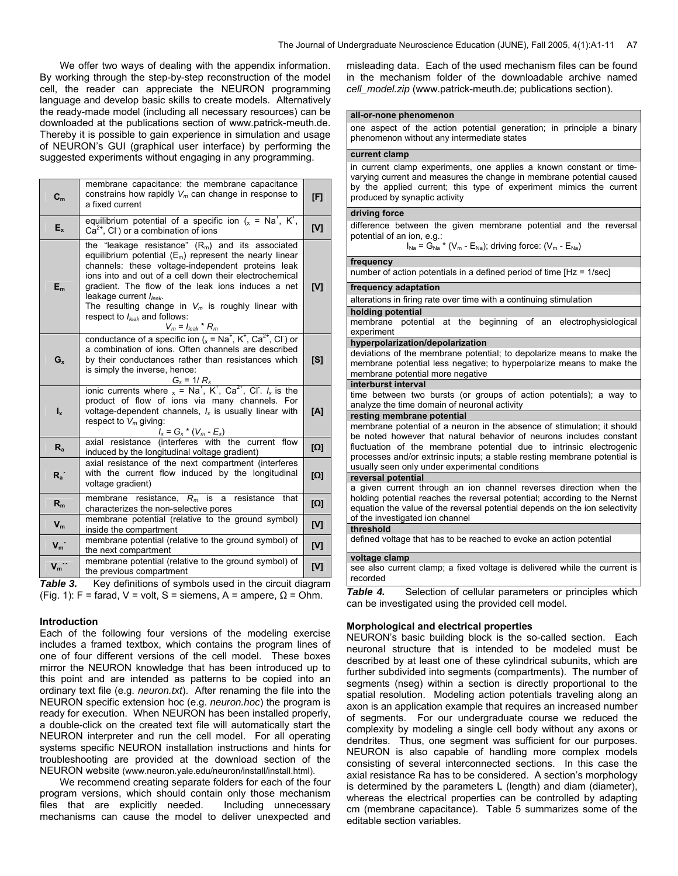We offer two ways of dealing with the appendix information. By working through the step-by-step reconstruction of the model cell, the reader can appreciate the NEURON programming language and develop basic skills to create models. Alternatively the ready-made model (including all necessary resources) can be downloaded at the publications section of www.patrick-meuth.de. Thereby it is possible to gain experience in simulation and usage of NEURON's GUI (graphical user interface) by performing the suggested experiments without engaging in any programming.

| C <sub>m</sub> | membrane capacitance: the membrane capacitance<br>constrains how rapidly $V_m$ can change in response to<br>a fixed current                                                                                                                                                                                                                                                                                                                  | [F]        |
|----------------|----------------------------------------------------------------------------------------------------------------------------------------------------------------------------------------------------------------------------------------------------------------------------------------------------------------------------------------------------------------------------------------------------------------------------------------------|------------|
| $E_{x}$        | equilibrium potential of a specific ion ( $x = Na^{+}$ , K <sup>+</sup> ,<br>$Ca2+$ , CI $\circ$ or a combination of ions                                                                                                                                                                                                                                                                                                                    | [V]        |
| $E_m$          | the "leakage resistance" $(R_m)$ and its associated<br>equilibrium potential $(E_m)$ represent the nearly linear<br>channels: these voltage-independent proteins leak<br>ions into and out of a cell down their electrochemical<br>gradient. The flow of the leak ions induces a net<br>leakage current $I_{leak}$ .<br>The resulting change in $V_m$ is roughly linear with<br>respect to $I_{leak}$ and follows:<br>$V_m = I_{leak} * R_m$ | IV1        |
| $G_{x}$        | conductance of a specific ion $(x = Na^+, K^+, Ca^{2+}, Cl)$ or<br>a combination of ions. Often channels are described<br>by their conductances rather than resistances which<br>is simply the inverse, hence:                                                                                                                                                                                                                               | [S]        |
| $I_{x}$        | $G_x = 1/R_x$<br>ionic currents where $x = Na^+$ , $K^+$ , $Ca^{2+}$ , Cl. $I_x$ is the<br>product of flow of ions via many channels. For<br>voltage-dependent channels, $I_x$ is usually linear with<br>respect to $V_m$ giving:<br>$I_x = G_x * (V_m - E_x)$                                                                                                                                                                               | [A]        |
| $R_{a}$        | axial resistance (interferes with the current flow<br>induced by the longitudinal voltage gradient)                                                                                                                                                                                                                                                                                                                                          | $[\Omega]$ |
| $R_a$          | axial resistance of the next compartment (interferes<br>with the current flow induced by the longitudinal<br>voltage gradient)                                                                                                                                                                                                                                                                                                               | [Ω]        |
| $R_m$          | membrane resistance, $R_m$ is a resistance<br>that<br>characterizes the non-selective pores                                                                                                                                                                                                                                                                                                                                                  | $[\Omega]$ |
| $V_m$          | membrane potential (relative to the ground symbol)<br>inside the compartment                                                                                                                                                                                                                                                                                                                                                                 | [V]        |
| $V_m$          | membrane potential (relative to the ground symbol) of<br>the next compartment                                                                                                                                                                                                                                                                                                                                                                | [V]        |
| $V_m$ "        | membrane potential (relative to the ground symbol) of<br>the previous compartment                                                                                                                                                                                                                                                                                                                                                            | [V]        |

**Table 3.** Key definitions of symbols used in the circuit diagram (Fig. 1): F = farad, V = volt, S = siemens, A = ampere,  $\Omega$  = Ohm.

### **Introduction**

Each of the following four versions of the modeling exercise includes a framed textbox, which contains the program lines of one of four different versions of the cell model. These boxes mirror the NEURON knowledge that has been introduced up to this point and are intended as patterns to be copied into an ordinary text file (e.g. *neuron.txt*). After renaming the file into the NEURON specific extension hoc (e.g. *neuron.hoc*) the program is ready for execution. When NEURON has been installed properly, a double-click on the created text file will automatically start the NEURON interpreter and run the cell model. For all operating systems specific NEURON installation instructions and hints for troubleshooting are provided at the download section of the NEURON website [\(www.neuron.yale.edu/neuron/install/install.html\)](http://www.neuron.yale.edu/neuron/install/install.html).

We recommend creating separate folders for each of the four program versions, which should contain only those mechanism files that are explicitly needed. Including unnecessary mechanisms can cause the model to deliver unexpected and

misleading data. Each of the used mechanism files can be found in the mechanism folder of the downloadable archive named *cell\_model.zip* ([www.patrick-meuth.de;](http://pmeuth.bluehash.de) publications section).

#### **all-or-none phenomenon**

one aspect of the action potential generation; in principle a binary phenomenon without any intermediate states

## **current clamp**

in current clamp experiments, one applies a known constant or timevarying current and measures the change in membrane potential caused by the applied current; this type of experiment mimics the current produced by synaptic activity

#### **driving force**

difference between the given membrane potential and the reversal potential of an ion, e.g.:

 $I_{Na} = G_{Na}$  \* (V<sub>m</sub> - E<sub>Na</sub>); driving force: (V<sub>m</sub> - E<sub>Na</sub>)

# **frequency**

number of action potentials in a defined period of time [Hz = 1/sec]

#### **frequency adaptation**

alterations in firing rate over time with a continuing stimulation

# **holding potential**

membrane potential at the beginning of an electrophysiological experiment

#### **hyperpolarization/depolarization**

deviations of the membrane potential; to depolarize means to make the membrane potential less negative; to hyperpolarize means to make the membrane potential more negative

#### **interburst interval**

time between two bursts (or groups of action potentials); a way to analyze the time domain of neuronal activity

## **resting membrane potential**

membrane potential of a neuron in the absence of stimulation; it should be noted however that natural behavior of neurons includes constant fluctuation of the membrane potential due to intrinsic electrogenic processes and/or extrinsic inputs; a stable resting membrane potential is usually seen only under experimental conditions

#### **reversal potential**

a given current through an ion channel reverses direction when the holding potential reaches the reversal potential; according to the Nernst equation the value of the reversal potential depends on the ion selectivity of the investigated ion channel

# **threshold**

defined voltage that has to be reached to evoke an action potential

## **voltage clamp**

see also current clamp; a fixed voltage is delivered while the current is recorded

**Table 4.** Selection of cellular parameters or principles which can be investigated using the provided cell model.

# **Morphological and electrical properties**

NEURON's basic building block is the so-called section. Each neuronal structure that is intended to be modeled must be described by at least one of these cylindrical subunits, which are further subdivided into segments (compartments). The number of segments (nseg) within a section is directly proportional to the spatial resolution. Modeling action potentials traveling along an axon is an application example that requires an increased number of segments. For our undergraduate course we reduced the complexity by modeling a single cell body without any axons or dendrites. Thus, one segment was sufficient for our purposes. NEURON is also capable of handling more complex models consisting of several interconnected sections. In this case the axial resistance Ra has to be considered. A section's morphology is determined by the parameters L (length) and diam (diameter), whereas the electrical properties can be controlled by adapting cm (membrane capacitance). Table 5 summarizes some of the editable section variables.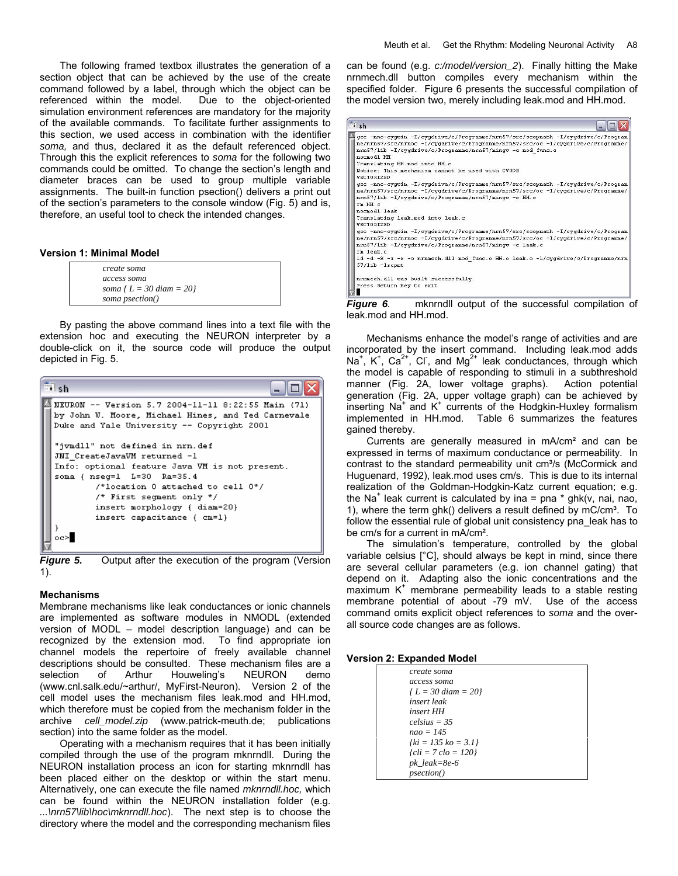The following framed textbox illustrates the generation of a section object that can be achieved by the use of the create command followed by a label, through which the object can be referenced within the model. Due to the object-oriented simulation environment references are mandatory for the majority of the available commands. To facilitate further assignments to this section, we used access in combination with the identifier *soma,* and thus, declared it as the default referenced object. Through this the explicit references to *soma* for the following two commands could be omitted. To change the section's length and diameter braces can be used to group multiple variable assignments. The built-in function psection() delivers a print out of the section's parameters to the console window (Fig. 5) and is, therefore, an useful tool to check the intended changes.

#### **Version 1: Minimal Model**

| create soma                |
|----------------------------|
| access soma                |
| soma { $L = 30$ diam = 20} |
| soma psection()            |

By pasting the above command lines into a text file with the extension hoc and executing the NEURON interpreter by a double-click on it, the source code will produce the output depicted in Fig. 5.



*Figure 5.* Output after the execution of the program (Version 1).

#### **Mechanisms**

Membrane mechanisms like leak conductances or ionic channels are implemented as software modules in NMODL (extended version of MODL – model description language) and can be recognized by the extension mod. To find appropriate ion channel models the repertoire of freely available channel descriptions should be consulted. These mechanism files are a selection of Arthur Houweling's NEURON demo ([www.cnl.salk.edu/~arthur/](http://www.cnl.salk.edu/~arthur/), MyFirst-Neuron). Version 2 of the cell model uses the mechanism files leak.mod and HH.mod, which therefore must be copied from the mechanism folder in the archive *cell\_model.zip* [\(www.patrick-meuth.de](http://pmeuth.bluehash.de/); publications section) into the same folder as the model.

Operating with a mechanism requires that it has been initially compiled through the use of the program mknrndll. During the NEURON installation process an icon for starting mknrndll has been placed either on the desktop or within the start menu. Alternatively, one can execute the file named *mknrndll.hoc,* which can be found within the NEURON installation folder (e.g. *...\nrn57\lib\hoc\mknrndll.hoc*). The next step is to choose the directory where the model and the corresponding mechanism files

can be found (e.g. *c:/model/version\_2*). Finally hitting the Make nrnmech.dll button compiles every mechanism within the specified folder. Figure 6 presents the successful compilation of the model version two, merely including leak.mod and HH.mod.

| <b>Si</b> sh |                                                                                                                                                                                                                                                   |
|--------------|---------------------------------------------------------------------------------------------------------------------------------------------------------------------------------------------------------------------------------------------------|
|              | qcc -mno-cyqwin -I/cyqdrive/c/Programme/nrn57/src/scopmath -I/cyqdrive/c/Program<br>me/nrn57/src/nrnoc -I/cygdrive/c/Programme/nrn57/src/oc -I/cygdrive/c/Programme/<br>nrn57/lib -I/cvgdrive/c/Programme/nrn57/mingw -c mod func.c<br>nocmodl HH |
|              | Translating HH. mod into HH. c<br>Notice: This mechanism cannot be used with CVODE<br><b>VECTORIZED</b>                                                                                                                                           |
|              | qcc -mno-cyqwin -I/cyqdrive/c/Proqramme/nrn57/src/scopmath -I/cyqdrive/c/Proqram<br>me/nrn57/src/nrnoc -I/cygdrive/c/Programme/nrn57/src/oc -I/cygdrive/c/Programme/<br>nrn57/lib -I/cygdrive/c/Programme/nrn57/mingw -c HH.c                     |
|              | rm HH.c<br>normodl leak<br>Translating leak.mod into leak.c                                                                                                                                                                                       |
|              | <b>VECTORIZED</b><br>qcc -mno-cyqwin -I/cyqdrive/c/Proqramme/nrn57/src/scopmath -I/cyqdrive/c/Proqram                                                                                                                                             |
|              | me/nrn57/src/nrnoc -I/cyqdrive/c/Programme/nrn57/src/oc -I/cyqdrive/c/Programme/<br>nrn57/lib -I/cygdrive/c/Programme/nrn57/mingw -c leak.c<br>rm leak.c                                                                                          |
|              | 1d -d -S -x -r -o nrnmech.dll mod func.o HH.o leak.o -L/cyqdrive/c/Programme/nrn<br>$57/1$ ib $-1$ scpmt                                                                                                                                          |
|              | nrnmech.dll was built successfully.                                                                                                                                                                                                               |
|              | Press Return key to exit<br><br>.                                                                                                                                                                                                                 |

*Figure 6.*mknrndll output of the successful compilation of leak.mod and HH.mod.

Mechanisms enhance the model's range of activities and are incorporated by the insert command. Including leak.mod adds Na<sup>+</sup>, K<sup>+</sup>, Ca<sup>2+</sup>, Cl<sup>-</sup>, and Mg<sup>2+</sup> leak conductances, through which the model is capable of responding to stimuli in a subthreshold manner (Fig. 2A, lower voltage graphs). Action potential generation (Fig. 2A, upper voltage graph) can be achieved by inserting Na<sup>+</sup> and K<sup>+</sup> currents of the Hodgkin-Huxley formalism implemented in HH.mod. Table 6 summarizes the features gained thereby.

Currents are generally measured in mA/cm² and can be expressed in terms of maximum conductance or permeability. In contrast to the standard permeability unit cm<sup>3</sup>/s (McCormick and Huguenard, 1992), leak.mod uses cm/s. This is due to its internal realization of the Goldman-Hodgkin-Katz current equation; e.g. the Na<sup>+</sup> leak current is calculated by ina = pna \* ghk(v, nai, nao, 1), where the term ghk() delivers a result defined by  $mC/cm<sup>3</sup>$ . To follow the essential rule of global unit consistency pna\_leak has to be cm/s for a current in mA/cm².

The simulation's temperature, controlled by the global variable celsius [°C], should always be kept in mind, since there are several cellular parameters (e.g. ion channel gating) that depend on it. Adapting also the ionic concentrations and the maximum  $K^+$  membrane permeability leads to a stable resting membrane potential of about -79 mV. Use of the access command omits explicit object references to *soma* and the overall source code changes are as follows.

#### **Version 2: Expanded Model**

| create soma               |
|---------------------------|
| access soma               |
| $\{L = 30 \, diam = 20\}$ |
| insert leak               |
| insert HH                 |
| $celsius = 35$            |
| $nao = 145$               |
| $fki = 135 k\sigma = 3.1$ |
| ${cli = 7 clo = 120}$     |
| $pk\_leak = 8e-6$         |
| <i>psection()</i>         |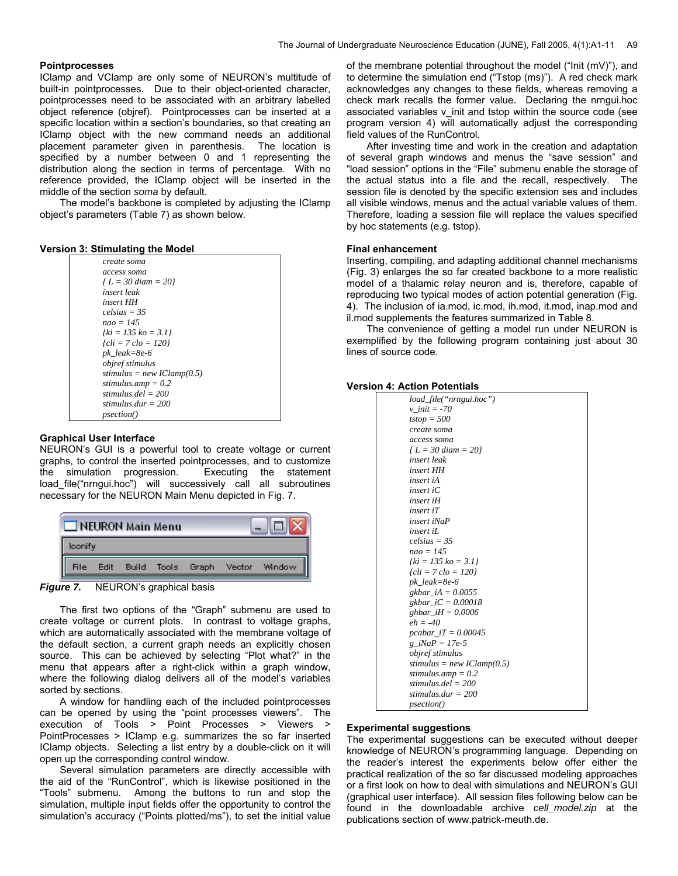## **Pointprocesses**

IClamp and VClamp are only some of NEURON's multitude of built-in pointprocesses. Due to their object-oriented character, pointprocesses need to be associated with an arbitrary labelled object reference (objref). Pointprocesses can be inserted at a specific location within a section's boundaries, so that creating an IClamp object with the new command needs an additional placement parameter given in parenthesis. The location is specified by a number between 0 and 1 representing the distribution along the section in terms of percentage. With no reference provided, the IClamp object will be inserted in the middle of the section *soma* by default.

The model's backbone is completed by adjusting the IClamp object's parameters (Table 7) as shown below.

#### **Version 3: Stimulating the Model**

| create soma                |  |
|----------------------------|--|
| access soma                |  |
| $\{L = 30$ diam = 20}      |  |
| insert leak                |  |
| insert HH                  |  |
| $celsius = 35$             |  |
| $nao = 145$                |  |
| $fki = 135 k0 = 3.1$       |  |
| $\{cli = 7 clo = 120\}$    |  |
| $pk$ leak=8e-6             |  |
| <i>obiref stimulus</i>     |  |
| stimulus = new IClamp(0.5) |  |
| stimulus.amp = $0.2$       |  |
| stimulus $del = 200$       |  |
| stimulus dur $= 200$       |  |
| <i>psection()</i>          |  |

### **Graphical User Interface**

NEURON's GUI is a powerful tool to create voltage or current graphs, to control the inserted pointprocesses, and to customize the simulation progression. Executing the statement load\_file("nrngui.hoc") will successively call all subroutines necessary for the NEURON Main Menu depicted in Fig. 7.

|         | NEURON Main Menu |  |                                           |
|---------|------------------|--|-------------------------------------------|
| lconify |                  |  |                                           |
| ll      |                  |  | File Edit Build Tools Graph Vector Window |



The first two options of the "Graph" submenu are used to create voltage or current plots. In contrast to voltage graphs, which are automatically associated with the membrane voltage of the default section, a current graph needs an explicitly chosen source. This can be achieved by selecting "Plot what?" in the menu that appears after a right-click within a graph window, where the following dialog delivers all of the model's variables sorted by sections.

A window for handling each of the included pointprocesses can be opened by using the "point processes viewers". The execution of Tools > Point Processes > Viewers > PointProcesses > IClamp e.g. summarizes the so far inserted IClamp objects. Selecting a list entry by a double-click on it will open up the corresponding control window.

Several simulation parameters are directly accessible with the aid of the "RunControl", which is likewise positioned in the "Tools" submenu. Among the buttons to run and stop the simulation, multiple input fields offer the opportunity to control the simulation's accuracy ("Points plotted/ms"), to set the initial value of the membrane potential throughout the model ("Init (mV)"), and to determine the simulation end ("Tstop (ms)"). A red check mark acknowledges any changes to these fields, whereas removing a check mark recalls the former value. Declaring the nrngui.hoc associated variables v init and tstop within the source code (see program version 4) will automatically adjust the corresponding field values of the RunControl.

After investing time and work in the creation and adaptation of several graph windows and menus the "save session" and "load session" options in the "File" submenu enable the storage of the actual status into a file and the recall, respectively. The session file is denoted by the specific extension ses and includes all visible windows, menus and the actual variable values of them. Therefore, loading a session file will replace the values specified by hoc statements (e.g. tstop).

#### **Final enhancement**

Inserting, compiling, and adapting additional channel mechanisms (Fig. 3) enlarges the so far created backbone to a more realistic model of a thalamic relay neuron and is, therefore, capable of reproducing two typical modes of action potential generation (Fig. 4). The inclusion of ia.mod, ic.mod, ih.mod, it.mod, inap.mod and il.mod supplements the features summarized in Table 8.

The convenience of getting a model run under NEURON is exemplified by the following program containing just about 30 lines of source code.

### **Version 4: Action Potentials**

| load_file("nrngui.hoc")    |
|----------------------------|
| $v$ init = -70             |
| $tstop = 500$              |
| create soma                |
| access soma                |
| $\{L = 30 \, diam = 20\}$  |
| insert leak                |
| insert HH                  |
| insert iA                  |
| $insert$ iC                |
| insert iH                  |
| $insert$ iT                |
| insert iNaP                |
| insert iL                  |
| $c$ <i>elsius</i> = 35     |
| $nao = 145$                |
| $fki = 135 k0 = 3.1$       |
| $\{cli = 7 \, clo = 120\}$ |
| $pk$ leak=8e-6             |
| $g kbar_i A = 0.0055$      |
| gkbar_iC = 0.00018         |
| ghbar $iH = 0.0006$        |
| $eh = -40$                 |
| pcabar $iT = 0.00045$      |
| g iNaP = 17e-5             |
| objref stimulus            |
| stimulus = new IClamp(0.5) |
| stimulus.amp = $0.2$       |
| stimulus $del = 200$       |
| stimulus $dur = 200$       |
| <i>psection()</i>          |

### **Experimental suggestions**

The experimental suggestions can be executed without deeper knowledge of NEURON's programming language. Depending on the reader's interest the experiments below offer either the practical realization of the so far discussed modeling approaches or a first look on how to deal with simulations and NEURON's GUI (graphical user interface). All session files following below can be found in the downloadable archive *cell\_model.zip* at the publications section of [www.patrick-meuth.de](http://pmeuth.bluehash.de/).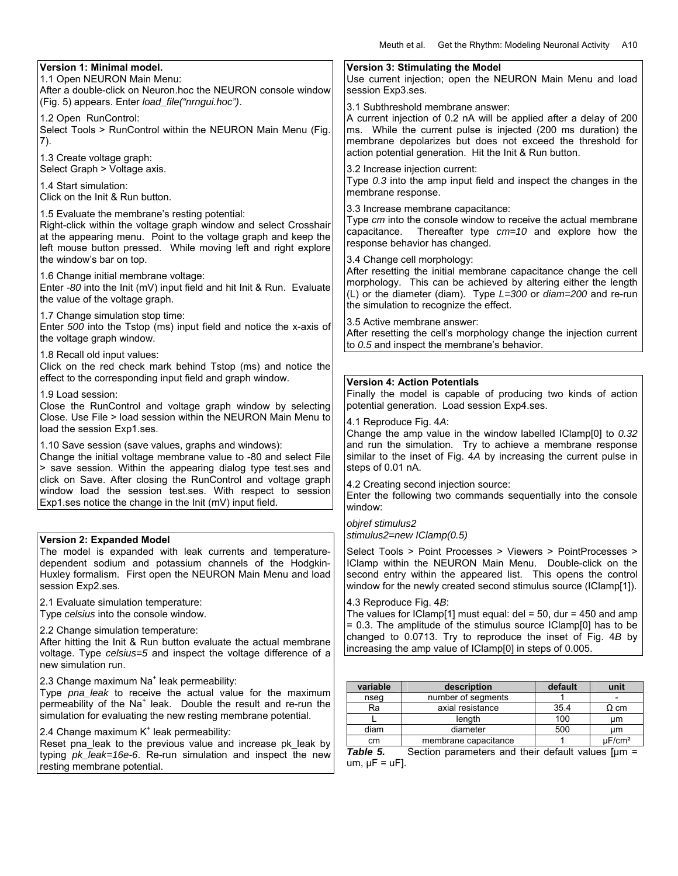| Version 1: Minimal model.                                                                                                               |                                                                                                               | Version 3: Stimulating the Model                                                                                                    |            |             |
|-----------------------------------------------------------------------------------------------------------------------------------------|---------------------------------------------------------------------------------------------------------------|-------------------------------------------------------------------------------------------------------------------------------------|------------|-------------|
| 1.1 Open NEURON Main Menu:                                                                                                              | Use current injection; open the NEURON Main Menu and load                                                     |                                                                                                                                     |            |             |
| After a double-click on Neuron.hoc the NEURON console window<br>(Fig. 5) appears. Enter load_file("nrngui.hoc").                        | session Exp3.ses.                                                                                             |                                                                                                                                     |            |             |
|                                                                                                                                         |                                                                                                               | 3.1 Subthreshold membrane answer:                                                                                                   |            |             |
| 1.2 Open RunControl:<br>Select Tools > RunControl within the NEURON Main Menu (Fig.                                                     |                                                                                                               | A current injection of 0.2 nA will be applied after a delay of 200<br>ms. While the current pulse is injected (200 ms duration) the |            |             |
| 7).                                                                                                                                     |                                                                                                               | membrane depolarizes but does not exceed the threshold for                                                                          |            |             |
| 1.3 Create voltage graph:                                                                                                               |                                                                                                               | action potential generation. Hit the Init & Run button.                                                                             |            |             |
| Select Graph > Voltage axis.                                                                                                            |                                                                                                               | 3.2 Increase injection current:                                                                                                     |            |             |
| 1.4 Start simulation:                                                                                                                   |                                                                                                               | Type 0.3 into the amp input field and inspect the changes in the                                                                    |            |             |
| Click on the Init & Run button.                                                                                                         | membrane response.                                                                                            |                                                                                                                                     |            |             |
|                                                                                                                                         |                                                                                                               | 3.3 Increase membrane capacitance:                                                                                                  |            |             |
| 1.5 Evaluate the membrane's resting potential:<br>Right-click within the voltage graph window and select Crosshair                      |                                                                                                               | Type cm into the console window to receive the actual membrane                                                                      |            |             |
| at the appearing menu. Point to the voltage graph and keep the                                                                          | capacitance.                                                                                                  | Thereafter type $cm=10$ and explore how the                                                                                         |            |             |
| left mouse button pressed. While moving left and right explore                                                                          |                                                                                                               | response behavior has changed.                                                                                                      |            |             |
| the window's bar on top.                                                                                                                |                                                                                                               | 3.4 Change cell morphology:                                                                                                         |            |             |
| 1.6 Change initial membrane voltage:                                                                                                    |                                                                                                               | After resetting the initial membrane capacitance change the cell                                                                    |            |             |
| Enter -80 into the Init (mV) input field and hit Init & Run. Evaluate                                                                   |                                                                                                               | morphology. This can be achieved by altering either the length<br>(L) or the diameter (diam). Type L=300 or diam=200 and re-run     |            |             |
| the value of the voltage graph.                                                                                                         |                                                                                                               | the simulation to recognize the effect.                                                                                             |            |             |
| 1.7 Change simulation stop time:                                                                                                        |                                                                                                               | 3.5 Active membrane answer:                                                                                                         |            |             |
| Enter 500 into the Tstop (ms) input field and notice the x-axis of                                                                      |                                                                                                               | After resetting the cell's morphology change the injection current                                                                  |            |             |
| the voltage graph window.                                                                                                               |                                                                                                               | to 0.5 and inspect the membrane's behavior.                                                                                         |            |             |
| 1.8 Recall old input values:                                                                                                            |                                                                                                               |                                                                                                                                     |            |             |
| Click on the red check mark behind Tstop (ms) and notice the<br>effect to the corresponding input field and graph window.               |                                                                                                               |                                                                                                                                     |            |             |
| 1.9 Load session:                                                                                                                       |                                                                                                               | <b>Version 4: Action Potentials</b>                                                                                                 |            |             |
| Close the RunControl and voltage graph window by selecting                                                                              | Finally the model is capable of producing two kinds of action<br>potential generation. Load session Exp4.ses. |                                                                                                                                     |            |             |
| Close. Use File > load session within the NEURON Main Menu to                                                                           | 4.1 Reproduce Fig. 4A:                                                                                        |                                                                                                                                     |            |             |
| load the session Exp1.ses.                                                                                                              |                                                                                                               | Change the amp value in the window labelled IClamp[0] to 0.32                                                                       |            |             |
| 1.10 Save session (save values, graphs and windows):                                                                                    |                                                                                                               | and run the simulation. Try to achieve a membrane response                                                                          |            |             |
| Change the initial voltage membrane value to -80 and select File                                                                        | similar to the inset of Fig. 4A by increasing the current pulse in                                            |                                                                                                                                     |            |             |
| > save session. Within the appearing dialog type test.ses and                                                                           | steps of 0.01 nA.                                                                                             |                                                                                                                                     |            |             |
| click on Save. After closing the RunControl and voltage graph<br>window load the session test.ses. With respect to session              |                                                                                                               | 4.2 Creating second injection source:                                                                                               |            |             |
| Exp1.ses notice the change in the Init (mV) input field.                                                                                |                                                                                                               | Enter the following two commands sequentially into the console                                                                      |            |             |
|                                                                                                                                         | window:                                                                                                       |                                                                                                                                     |            |             |
|                                                                                                                                         | objref stimulus2                                                                                              |                                                                                                                                     |            |             |
| <b>Version 2: Expanded Model</b>                                                                                                        |                                                                                                               | stimulus2=new IClamp(0.5)                                                                                                           |            |             |
| The model is expanded with leak currents and temperature-<br>dependent sodium and potassium channels of the Hodgkin-                    |                                                                                                               | Select Tools > Point Processes > Viewers > PointProcesses ><br>IClamp within the NEURON Main Menu. Double-click on the              |            |             |
| Huxley formalism. First open the NEURON Main Menu and load                                                                              |                                                                                                               | second entry within the appeared list. This opens the control                                                                       |            |             |
| session Exp2.ses.                                                                                                                       | window for the newly created second stimulus source (IClamp[1]).                                              |                                                                                                                                     |            |             |
| 2.1 Evaluate simulation temperature:                                                                                                    | 4.3 Reproduce Fig. 4B:                                                                                        |                                                                                                                                     |            |             |
| Type celsius into the console window.                                                                                                   |                                                                                                               | The values for IClamp[1] must equal: $del = 50$ , dur = 450 and amp                                                                 |            |             |
| 2.2 Change simulation temperature:                                                                                                      | = 0.3. The amplitude of the stimulus source IClamp[0] has to be                                               |                                                                                                                                     |            |             |
| After hitting the Init & Run button evaluate the actual membrane                                                                        | changed to 0.0713. Try to reproduce the inset of Fig. 4B by                                                   |                                                                                                                                     |            |             |
| voltage. Type celsius=5 and inspect the voltage difference of a                                                                         | increasing the amp value of IClamp[0] in steps of 0.005.                                                      |                                                                                                                                     |            |             |
| new simulation run.                                                                                                                     |                                                                                                               |                                                                                                                                     |            |             |
| 2.3 Change maximum Na <sup>+</sup> leak permeability:                                                                                   | variable                                                                                                      | description                                                                                                                         | default    | unit        |
| Type pna_leak to receive the actual value for the maximum<br>permeability of the Na <sup>+</sup> leak. Double the result and re-run the | nseg                                                                                                          | number of segments                                                                                                                  | 1          |             |
| simulation for evaluating the new resting membrane potential.                                                                           | Ra                                                                                                            | axial resistance                                                                                                                    | 35.4       | $\Omega$ cm |
| 2.4 Change maximum K <sup>+</sup> leak permeability:                                                                                    | diam                                                                                                          | length<br>diameter                                                                                                                  | 100<br>500 | μm<br>μm    |
| Reset pna_leak to the previous value and increase pk_leak by                                                                            | $\mu$ F/cm <sup>2</sup><br>membrane capacitance<br>cm                                                         |                                                                                                                                     |            |             |
| typing pk_leak=16e-6. Re-run simulation and inspect the new                                                                             | Table 5.                                                                                                      | Section parameters and their default values $[µm =$                                                                                 |            |             |
| resting membrane potential.                                                                                                             | $um, \mu F = uF$ ].                                                                                           |                                                                                                                                     |            |             |